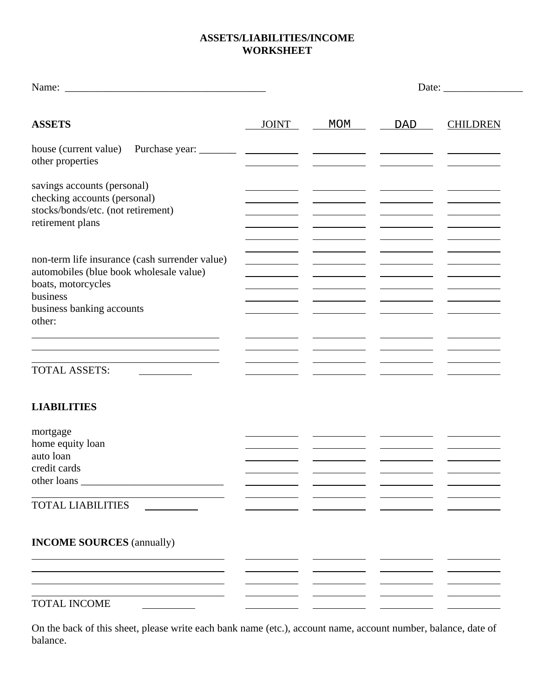## **ASSETS/LIABILITIES/INCOME WORKSHEET**

|                                                                                                                                                                    |       |     |     | Date: $\_\_$    |
|--------------------------------------------------------------------------------------------------------------------------------------------------------------------|-------|-----|-----|-----------------|
| <b>ASSETS</b>                                                                                                                                                      | JOINT | MOM | DAD | <b>CHILDREN</b> |
| house (current value)<br>other properties                                                                                                                          |       |     |     |                 |
| savings accounts (personal)<br>checking accounts (personal)<br>stocks/bonds/etc. (not retirement)<br>retirement plans                                              |       |     |     |                 |
| non-term life insurance (cash surrender value)<br>automobiles (blue book wholesale value)<br>boats, motorcycles<br>business<br>business banking accounts<br>other: |       |     |     |                 |
| and the control of the control of the control of<br><b>TOTAL ASSETS:</b>                                                                                           |       |     |     |                 |
| <b>LIABILITIES</b>                                                                                                                                                 |       |     |     |                 |
| mortgage<br>home equity loan<br>auto loan<br>credit cards                                                                                                          |       |     |     |                 |
| <b>TOTAL LIABILITIES</b>                                                                                                                                           |       |     |     |                 |
| <b>INCOME SOURCES</b> (annually)                                                                                                                                   |       |     |     |                 |
| TOTAL INCOME                                                                                                                                                       |       |     |     |                 |

On the back of this sheet, please write each bank name (etc.), account name, account number, balance, date of balance.